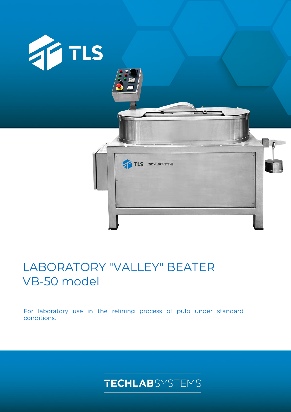

# LABORATORY "VALLEY" BEATER VB-50 model

For laboratory use in the refining process of pulp under standard conditions.

## **TECHLAB**SYSTEMS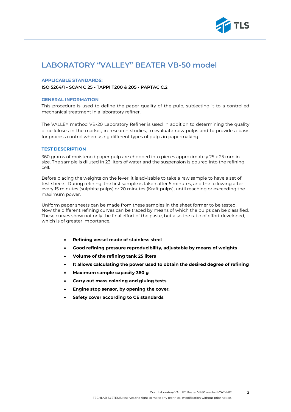

### **LABORATORY "VALLEY" BEATER VB-50 model**

#### **APPLICABLE STANDARDS:**

**ISO 5264/1 - SCAN C 25 - TAPPI T200 & 205 - PAPTAC C.2**

#### **GENERAL INFORMATION**

This procedure is used to define the paper quality of the pulp, subjecting it to a controlled mechanical treatment in a laboratory refiner.

The VALLEY method VB-20 Laboratory Refiner is used in addition to determining the quality of celluloses in the market, in research studies, to evaluate new pulps and to provide a basis for process control when using different types of pulps in papermaking.

#### **TEST DESCRIPTION**

360 grams of moistened paper pulp are chopped into pieces approximately 25 x 25 mm in size. The sample is diluted in 23 liters of water and the suspension is poured into the refining cell.

Before placing the weights on the lever, it is advisable to take a raw sample to have a set of test sheets. During refining, the first sample is taken after 5 minutes, and the following after every 15 minutes (sulphite pulps) or 20 minutes (Kraft pulps), until reaching or exceeding the maximum power.

Uniform paper sheets can be made from these samples in the sheet former to be tested. Now the different refining curves can be traced by means of which the pulps can be classified. These curves show not only the final effort of the paste, but also the ratio of effort developed, which is of greater importance.

- **Refining vessel made of stainless steel**
- **Good refining pressure reproducibility, adjustable by means of weights**
- **Volume of the refining tank 25 liters**
- **It allows calculating the power used to obtain the desired degree of refining**
- **Maximum sample capacity 360 g**
- **Carry out mass coloring and gluing tests**
- **Engine stop sensor, by opening the cover.**
- **Safety cover according to CE standards**